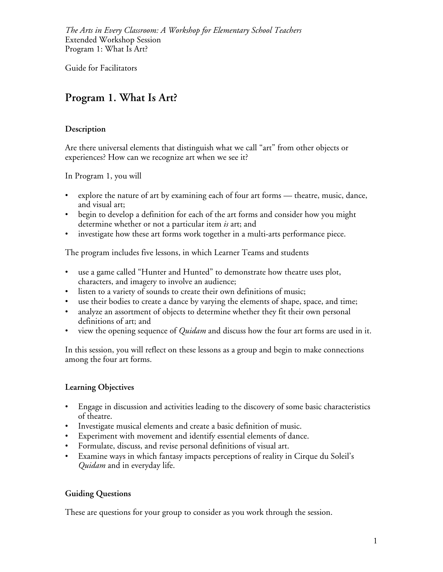Guide for Facilitators

# **Program 1. What Is Art?**

### **Description**

Are there universal elements that distinguish what we call "art" from other objects or experiences? How can we recognize art when we see it?

In Program 1, you will

- explore the nature of art by examining each of four art forms theatre, music, dance, and visual art;
- begin to develop a definition for each of the art forms and consider how you might determine whether or not a particular item *is* art; and
- investigate how these art forms work together in a multi-arts performance piece.

The program includes five lessons, in which Learner Teams and students

- use a game called "Hunter and Hunted" to demonstrate how theatre uses plot, characters, and imagery to involve an audience;
- listen to a variety of sounds to create their own definitions of music;
- use their bodies to create a dance by varying the elements of shape, space, and time;
- analyze an assortment of objects to determine whether they fit their own personal definitions of art; and
- view the opening sequence of *Quidam* and discuss how the four art forms are used in it.

In this session, you will reflect on these lessons as a group and begin to make connections among the four art forms.

### **Learning Objectives**

- Engage in discussion and activities leading to the discovery of some basic characteristics of theatre.
- Investigate musical elements and create a basic definition of music.
- Experiment with movement and identify essential elements of dance.
- Formulate, discuss, and revise personal definitions of visual art.
- Examine ways in which fantasy impacts perceptions of reality in Cirque du Soleil's *Quidam* and in everyday life.

### **Guiding Questions**

These are questions for your group to consider as you work through the session.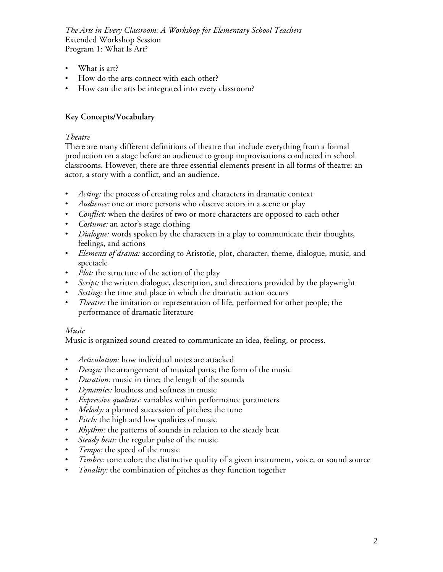- What is art?
- How do the arts connect with each other?
- How can the arts be integrated into every classroom?

#### **Key Concepts/Vocabulary**

#### *Theatre*

There are many different definitions of theatre that include everything from a formal production on a stage before an audience to group improvisations conducted in school classrooms. However, there are three essential elements present in all forms of theatre: an actor, a story with a conflict, and an audience.

- *Acting:* the process of creating roles and characters in dramatic context
- *Audience:* one or more persons who observe actors in a scene or play
- *Conflict:* when the desires of two or more characters are opposed to each other
- *Costume:* an actor's stage clothing
- *Dialogue:* words spoken by the characters in a play to communicate their thoughts, feelings, and actions
- *Elements of drama:* according to Aristotle, plot, character, theme, dialogue, music, and spectacle
- *Plot:* the structure of the action of the play
- *Script:* the written dialogue, description, and directions provided by the playwright
- *Setting:* the time and place in which the dramatic action occurs
- *Theatre:* the imitation or representation of life, performed for other people; the performance of dramatic literature

#### *Music*

Music is organized sound created to communicate an idea, feeling, or process.

- *Articulation:* how individual notes are attacked
- *Design:* the arrangement of musical parts; the form of the music
- *Duration:* music in time; the length of the sounds
- *Dynamics:* loudness and softness in music
- *Expressive qualities:* variables within performance parameters
- *Melody:* a planned succession of pitches; the tune
- *Pitch:* the high and low qualities of music
- *Rhythm:* the patterns of sounds in relation to the steady beat
- *Steady beat:* the regular pulse of the music
- *Tempo:* the speed of the music
- *Timbre:* tone color; the distinctive quality of a given instrument, voice, or sound source
- *Tonality:* the combination of pitches as they function together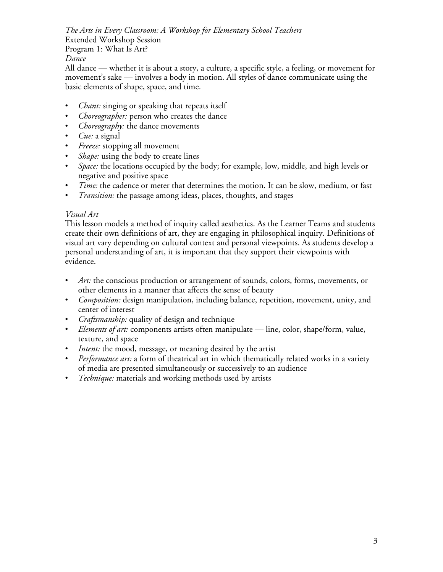All dance — whether it is about a story, a culture, a specific style, a feeling, or movement for movement's sake — involves a body in motion. All styles of dance communicate using the basic elements of shape, space, and time.

- *Chant:* singing or speaking that repeats itself
- *Choreographer:* person who creates the dance
- *Choreography:* the dance movements
- *Cue:* a signal
- *Freeze:* stopping all movement
- *Shape:* using the body to create lines
- *Space:* the locations occupied by the body; for example, low, middle, and high levels or negative and positive space
- *Time:* the cadence or meter that determines the motion. It can be slow, medium, or fast
- *Transition:* the passage among ideas, places, thoughts, and stages

#### *Visual Art*

This lesson models a method of inquiry called aesthetics. As the Learner Teams and students create their own definitions of art, they are engaging in philosophical inquiry. Definitions of visual art vary depending on cultural context and personal viewpoints. As students develop a personal understanding of art, it is important that they support their viewpoints with evidence.

- Art: the conscious production or arrangement of sounds, colors, forms, movements, or other elements in a manner that affects the sense of beauty
- *Composition:* design manipulation, including balance, repetition, movement, unity, and center of interest
- *Craftsmanship:* quality of design and technique
- *Elements of art:* components artists often manipulate line, color, shape/form, value, texture, and space
- *Intent:* the mood, message, or meaning desired by the artist
- *Performance art:* a form of theatrical art in which thematically related works in a variety of media are presented simultaneously or successively to an audience
- *Technique:* materials and working methods used by artists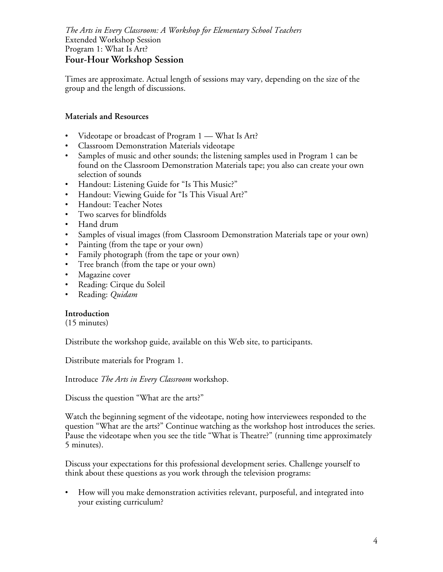Times are approximate. Actual length of sessions may vary, depending on the size of the group and the length of discussions.

#### **Materials and Resources**

- Videotape or broadcast of Program 1 What Is Art?
- Classroom Demonstration Materials videotape
- Samples of music and other sounds; the listening samples used in Program 1 can be found on the Classroom Demonstration Materials tape; you also can create your own selection of sounds
- Handout: Listening Guide for "Is This Music?"
- Handout: Viewing Guide for "Is This Visual Art?"
- Handout: Teacher Notes
- Two scarves for blindfolds
- Hand drum
- Samples of visual images (from Classroom Demonstration Materials tape or your own)
- Painting (from the tape or your own)
- Family photograph (from the tape or your own)
- Tree branch (from the tape or your own)
- Magazine cover
- Reading: Cirque du Soleil
- Reading: *Quidam*

#### **Introduction**

(15 minutes)

Distribute the workshop guide, available on this Web site, to participants.

Distribute materials for Program 1.

Introduce *The Arts in Every Classroom* workshop.

Discuss the question "What are the arts?"

Watch the beginning segment of the videotape, noting how interviewees responded to the question "What are the arts?" Continue watching as the workshop host introduces the series. Pause the videotape when you see the title "What is Theatre?" (running time approximately 5 minutes).

Discuss your expectations for this professional development series. Challenge yourself to think about these questions as you work through the television programs:

• How will you make demonstration activities relevant, purposeful, and integrated into your existing curriculum?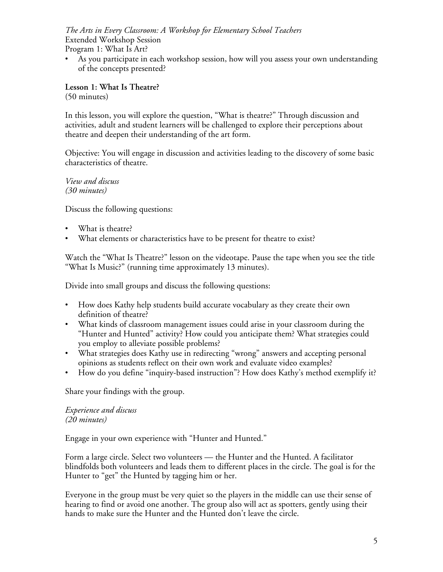• As you participate in each workshop session, how will you assess your own understanding of the concepts presented?

**Lesson 1: What Is Theatre?** (50 minutes)

In this lesson, you will explore the question, "What is theatre?" Through discussion and activities, adult and student learners will be challenged to explore their perceptions about theatre and deepen their understanding of the art form.

Objective: You will engage in discussion and activities leading to the discovery of some basic characteristics of theatre.

*View and discuss (30 minutes)*

Discuss the following questions:

- What is theatre?
- What elements or characteristics have to be present for theatre to exist?

Watch the "What Is Theatre?" lesson on the videotape. Pause the tape when you see the title "What Is Music?" (running time approximately 13 minutes).

Divide into small groups and discuss the following questions:

- How does Kathy help students build accurate vocabulary as they create their own definition of theatre?
- What kinds of classroom management issues could arise in your classroom during the "Hunter and Hunted" activity? How could you anticipate them? What strategies could you employ to alleviate possible problems?
- What strategies does Kathy use in redirecting "wrong" answers and accepting personal opinions as students reflect on their own work and evaluate video examples?
- How do you define "inquiry-based instruction"? How does Kathy's method exemplify it?

Share your findings with the group.

#### *Experience and discuss (20 minutes)*

Engage in your own experience with "Hunter and Hunted."

Form a large circle. Select two volunteers — the Hunter and the Hunted. A facilitator blindfolds both volunteers and leads them to different places in the circle. The goal is for the Hunter to "get" the Hunted by tagging him or her.

Everyone in the group must be very quiet so the players in the middle can use their sense of hearing to find or avoid one another. The group also will act as spotters, gently using their hands to make sure the Hunter and the Hunted don't leave the circle.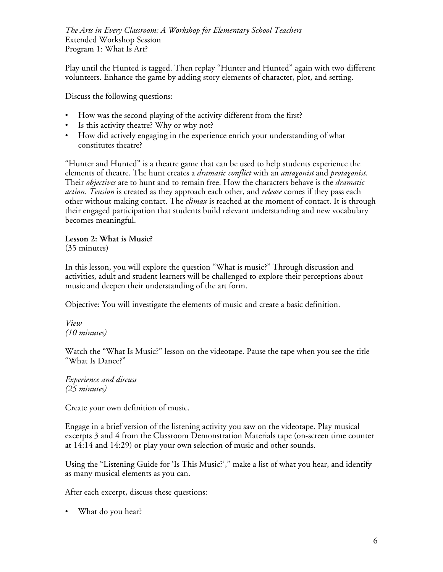Play until the Hunted is tagged. Then replay "Hunter and Hunted" again with two different volunteers. Enhance the game by adding story elements of character, plot, and setting.

Discuss the following questions:

- How was the second playing of the activity different from the first?
- Is this activity theatre? Why or why not?
- How did actively engaging in the experience enrich your understanding of what constitutes theatre?

"Hunter and Hunted" is a theatre game that can be used to help students experience the elements of theatre. The hunt creates a *dramatic conflict* with an *antagonist* and *protagonist*. Their *objectives* are to hunt and to remain free. How the characters behave is the *dramatic action*. *Tension* is created as they approach each other, and *release* comes if they pass each other without making contact. The *climax* is reached at the moment of contact. It is through their engaged participation that students build relevant understanding and new vocabulary becomes meaningful.

**Lesson 2: What is Music?** (35 minutes)

In this lesson, you will explore the question "What is music?" Through discussion and activities, adult and student learners will be challenged to explore their perceptions about music and deepen their understanding of the art form.

Objective: You will investigate the elements of music and create a basic definition.

*View (10 minutes)*

Watch the "What Is Music?" lesson on the videotape. Pause the tape when you see the title "What Is Dance?"

*Experience and discuss (25 minutes)*

Create your own definition of music.

Engage in a brief version of the listening activity you saw on the videotape. Play musical excerpts 3 and 4 from the Classroom Demonstration Materials tape (on-screen time counter at 14:14 and 14:29) or play your own selection of music and other sounds.

Using the "Listening Guide for 'Is This Music?'," make a list of what you hear, and identify as many musical elements as you can.

After each excerpt, discuss these questions:

• What do you hear?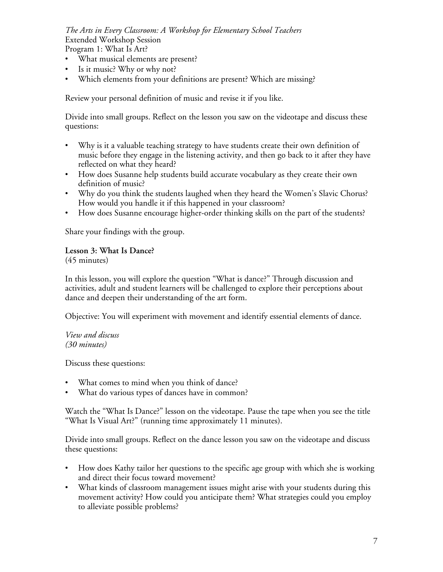*The Arts in Every Classroom: A Workshop for Elementary School Teachers* Extended Workshop Session

Program 1: What Is Art?

- What musical elements are present?
- Is it music? Why or why not?
- Which elements from your definitions are present? Which are missing?

Review your personal definition of music and revise it if you like.

Divide into small groups. Reflect on the lesson you saw on the videotape and discuss these questions:

- Why is it a valuable teaching strategy to have students create their own definition of music before they engage in the listening activity, and then go back to it after they have reflected on what they heard?
- How does Susanne help students build accurate vocabulary as they create their own definition of music?
- Why do you think the students laughed when they heard the Women's Slavic Chorus? How would you handle it if this happened in your classroom?
- How does Susanne encourage higher-order thinking skills on the part of the students?

Share your findings with the group.

**Lesson 3: What Is Dance?** (45 minutes)

In this lesson, you will explore the question "What is dance?" Through discussion and activities, adult and student learners will be challenged to explore their perceptions about dance and deepen their understanding of the art form.

Objective: You will experiment with movement and identify essential elements of dance.

#### *View and discuss (30 minutes)*

Discuss these questions:

- What comes to mind when you think of dance?
- What do various types of dances have in common?

Watch the "What Is Dance?" lesson on the videotape. Pause the tape when you see the title "What Is Visual Art?" (running time approximately 11 minutes).

Divide into small groups. Reflect on the dance lesson you saw on the videotape and discuss these questions:

- How does Kathy tailor her questions to the specific age group with which she is working and direct their focus toward movement?
- What kinds of classroom management issues might arise with your students during this movement activity? How could you anticipate them? What strategies could you employ to alleviate possible problems?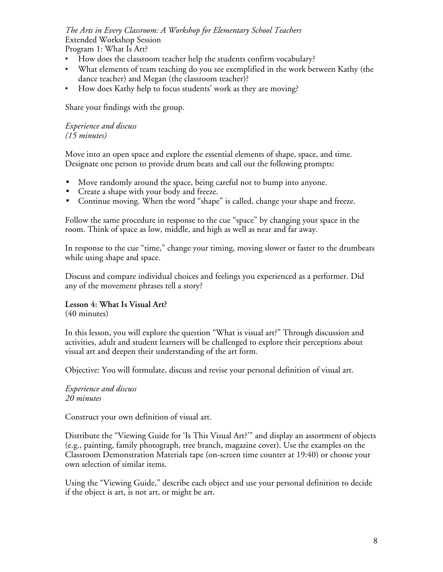# *The Arts in Every Classroom: A Workshop for Elementary School Teachers* Extended Workshop Session

Program 1: What Is Art?

- How does the classroom teacher help the students confirm vocabulary?
- What elements of team teaching do you see exemplified in the work between Kathy (the dance teacher) and Megan (the classroom teacher)?
- How does Kathy help to focus students' work as they are moving?

Share your findings with the group.

#### *Experience and discuss (15 minutes)*

Move into an open space and explore the essential elements of shape, space, and time. Designate one person to provide drum beats and call out the following prompts:

- Move randomly around the space, being careful not to bump into anyone.
- Create a shape with your body and freeze.
- Continue moving. When the word "shape" is called, change your shape and freeze.

Follow the same procedure in response to the cue "space" by changing your space in the room. Think of space as low, middle, and high as well as near and far away.

In response to the cue "time," change your timing, moving slower or faster to the drumbeats while using shape and space.

Discuss and compare individual choices and feelings you experienced as a performer. Did any of the movement phrases tell a story?

# **Lesson 4: What Is Visual Art?**

(40 minutes)

In this lesson, you will explore the question "What is visual art?" Through discussion and activities, adult and student learners will be challenged to explore their perceptions about visual art and deepen their understanding of the art form.

Objective: You will formulate, discuss and revise your personal definition of visual art.

#### *Experience and discuss 20 minutes*

Construct your own definition of visual art.

Distribute the "Viewing Guide for 'Is This Visual Art?'" and display an assortment of objects (e.g., painting, family photograph, tree branch, magazine cover). Use the examples on the Classroom Demonstration Materials tape (on-screen time counter at 19:40) or choose your own selection of similar items.

Using the "Viewing Guide," describe each object and use your personal definition to decide if the object is art, is not art, or might be art.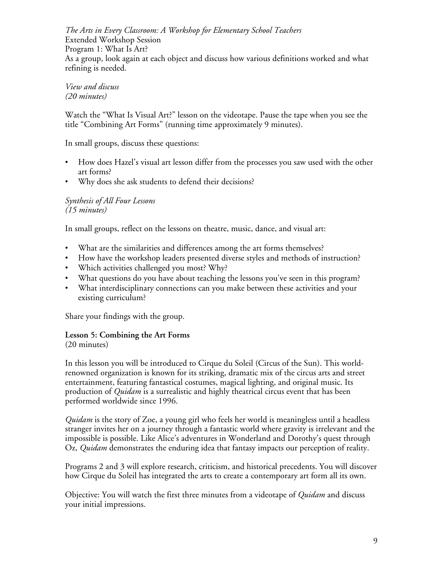*The Arts in Every Classroom: A Workshop for Elementary School Teachers* Extended Workshop Session Program 1: What Is Art? As a group, look again at each object and discuss how various definitions worked and what refining is needed.

*View and discuss (20 minutes)*

Watch the "What Is Visual Art?" lesson on the videotape. Pause the tape when you see the title "Combining Art Forms" (running time approximately 9 minutes).

In small groups, discuss these questions:

- How does Hazel's visual art lesson differ from the processes you saw used with the other art forms?
- Why does she ask students to defend their decisions?

*Synthesis of All Four Lessons (15 minutes)*

In small groups, reflect on the lessons on theatre, music, dance, and visual art:

- What are the similarities and differences among the art forms themselves?
- How have the workshop leaders presented diverse styles and methods of instruction?
- Which activities challenged you most? Why?
- What questions do you have about teaching the lessons you've seen in this program?
- What interdisciplinary connections can you make between these activities and your existing curriculum?

Share your findings with the group.

### **Lesson 5: Combining the Art Forms**

(20 minutes)

In this lesson you will be introduced to Cirque du Soleil (Circus of the Sun). This worldrenowned organization is known for its striking, dramatic mix of the circus arts and street entertainment, featuring fantastical costumes, magical lighting, and original music. Its production of *Quidam* is a surrealistic and highly theatrical circus event that has been performed worldwide since 1996.

*Quidam* is the story of Zoe, a young girl who feels her world is meaningless until a headless stranger invites her on a journey through a fantastic world where gravity is irrelevant and the impossible is possible. Like Alice's adventures in Wonderland and Dorothy's quest through Oz, *Quidam* demonstrates the enduring idea that fantasy impacts our perception of reality.

Programs 2 and 3 will explore research, criticism, and historical precedents. You will discover how Cirque du Soleil has integrated the arts to create a contemporary art form all its own.

Objective: You will watch the first three minutes from a videotape of *Quidam* and discuss your initial impressions.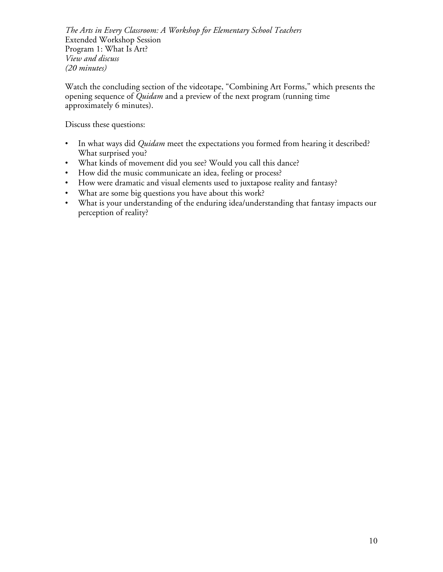*The Arts in Every Classroom: A Workshop for Elementary School Teachers* Extended Workshop Session Program 1: What Is Art? *View and discuss (20 minutes)*

Watch the concluding section of the videotape, "Combining Art Forms," which presents the opening sequence of *Quidam* and a preview of the next program (running time approximately 6 minutes).

Discuss these questions:

- In what ways did *Quidam* meet the expectations you formed from hearing it described? What surprised you?
- What kinds of movement did you see? Would you call this dance?
- How did the music communicate an idea, feeling or process?
- How were dramatic and visual elements used to juxtapose reality and fantasy?
- What are some big questions you have about this work?
- What is your understanding of the enduring idea/understanding that fantasy impacts our perception of reality?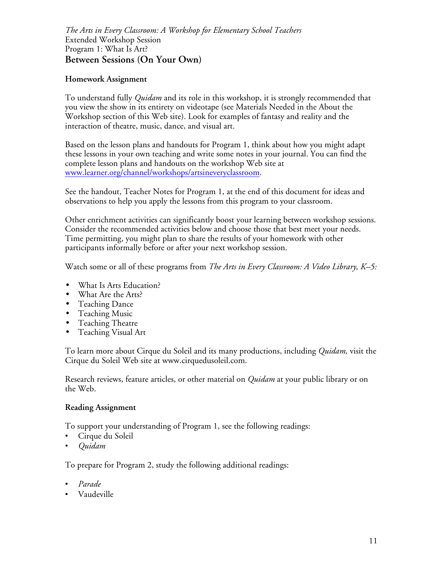*The Arts in Every Classroom: A Workshop for Elementary School Teachers* Extended Workshop Session Program 1: What Is Art? **Between Sessions (On Your Own)**

#### **Homework Assignment**

To understand fully *Quidam* and its role in this workshop, it is strongly recommended that you view the show in its entirety on videotape (see Materials Needed in the About the Workshop section of this Web site). Look for examples of fantasy and reality and the interaction of theatre, music, dance, and visual art.

Based on the lesson plans and handouts for Program 1, think about how you might adapt these lessons in your own teaching and write some notes in your journal. You can find the complete lesson plans and handouts on the workshop Web site at www.learner.org/channel/workshops/artsineveryclassroom.

See the handout, Teacher Notes for Program 1, at the end of this document for ideas and observations to help you apply the lessons from this program to your classroom.

Other enrichment activities can significantly boost your learning between workshop sessions. Consider the recommended activities below and choose those that best meet your needs. Time permitting, you might plan to share the results of your homework with other participants informally before or after your next workshop session.

Watch some or all of these programs from *The Arts in Every Classroom: A Video Library, K–5:*

- What Is Arts Education?
- What Are the Arts?
- Teaching Dance
- Teaching Music
- Teaching Theatre
- Teaching Visual Art

To learn more about Cirque du Soleil and its many productions, including *Quidam,* visit the Cirque du Soleil Web site at www.cirquedusoleil.com.

Research reviews, feature articles, or other material on *Quidam* at your public library or on the Web.

#### **Reading Assignment**

To support your understanding of Program 1, see the following readings:

- Cirque du Soleil
- *Quidam*

To prepare for Program 2, study the following additional readings:

- *Parade*
- Vaudeville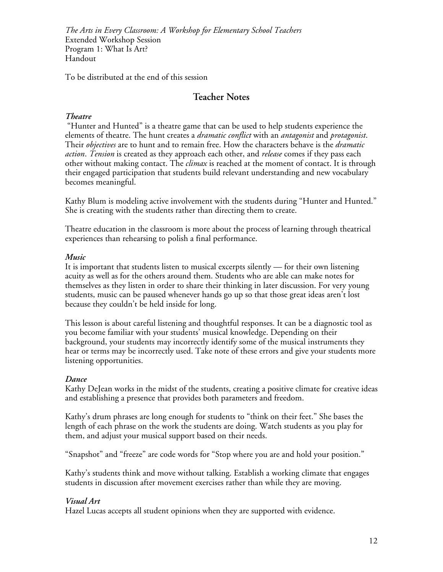To be distributed at the end of this session

### **Teacher Notes**

### *Theatre*

 "Hunter and Hunted" is a theatre game that can be used to help students experience the elements of theatre. The hunt creates a *dramatic conflict* with an *antagonist* and *protagonist*. Their *objectives* are to hunt and to remain free. How the characters behave is the *dramatic action*. *Tension* is created as they approach each other, and *release* comes if they pass each other without making contact. The *climax* is reached at the moment of contact. It is through their engaged participation that students build relevant understanding and new vocabulary becomes meaningful.

Kathy Blum is modeling active involvement with the students during "Hunter and Hunted." She is creating with the students rather than directing them to create.

Theatre education in the classroom is more about the process of learning through theatrical experiences than rehearsing to polish a final performance.

#### *Music*

It is important that students listen to musical excerpts silently — for their own listening acuity as well as for the others around them. Students who are able can make notes for themselves as they listen in order to share their thinking in later discussion. For very young students, music can be paused whenever hands go up so that those great ideas aren't lost because they couldn't be held inside for long.

This lesson is about careful listening and thoughtful responses. It can be a diagnostic tool as you become familiar with your students' musical knowledge. Depending on their background, your students may incorrectly identify some of the musical instruments they hear or terms may be incorrectly used. Take note of these errors and give your students more listening opportunities.

### *Dance*

Kathy DeJean works in the midst of the students, creating a positive climate for creative ideas and establishing a presence that provides both parameters and freedom.

Kathy's drum phrases are long enough for students to "think on their feet." She bases the length of each phrase on the work the students are doing. Watch students as you play for them, and adjust your musical support based on their needs.

"Snapshot" and "freeze" are code words for "Stop where you are and hold your position."

Kathy's students think and move without talking. Establish a working climate that engages students in discussion after movement exercises rather than while they are moving.

### *Visual Art*

Hazel Lucas accepts all student opinions when they are supported with evidence.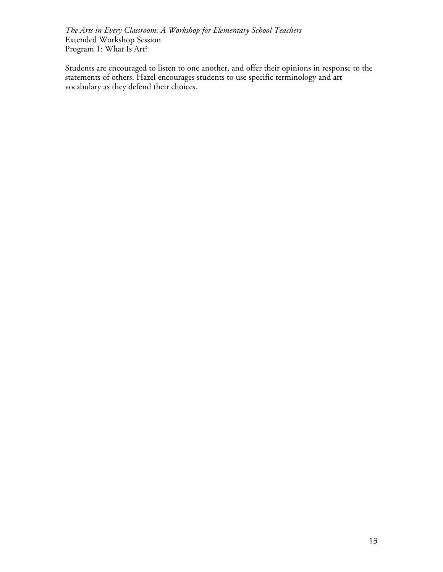Students are encouraged to listen to one another, and offer their opinions in response to the statements of others. Hazel encourages students to use specific terminology and art vocabulary as they defend their choices.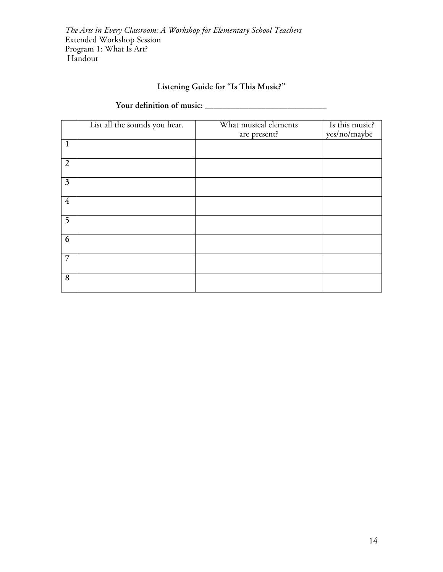# **Listening Guide for "Is This Music?"**

# **Your definition of music: \_\_\_\_\_\_\_\_\_\_\_\_\_\_\_\_\_\_\_\_\_\_\_\_\_\_\_\_**

|                | List all the sounds you hear. | What musical elements<br>are present? | Is this music?<br>yes/no/maybe |
|----------------|-------------------------------|---------------------------------------|--------------------------------|
| $\mathbf{1}$   |                               |                                       |                                |
| $\overline{2}$ |                               |                                       |                                |
| $\mathfrak{Z}$ |                               |                                       |                                |
| $\overline{4}$ |                               |                                       |                                |
| 5              |                               |                                       |                                |
| 6              |                               |                                       |                                |
| $\overline{7}$ |                               |                                       |                                |
| 8              |                               |                                       |                                |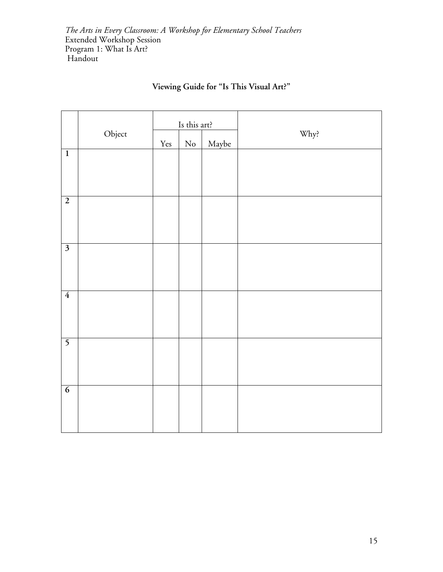|                         |        |                      | Is this art? |       |      |
|-------------------------|--------|----------------------|--------------|-------|------|
|                         | Object | $\operatorname{Yes}$ | $\rm No$     | Maybe | Why? |
| $\overline{1}$          |        |                      |              |       |      |
| $\overline{2}$          |        |                      |              |       |      |
| $\overline{\mathbf{3}}$ |        |                      |              |       |      |
| $\overline{4}$          |        |                      |              |       |      |
| $\overline{5}$          |        |                      |              |       |      |
| $\overline{6}$          |        |                      |              |       |      |

# **Viewing Guide for "Is This Visual Art?"**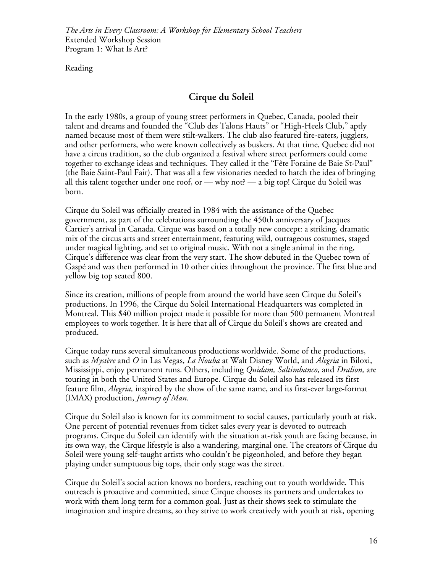Reading

# **Cirque du Soleil**

In the early 1980s, a group of young street performers in Quebec, Canada, pooled their talent and dreams and founded the "Club des Talons Hauts" or "High-Heels Club," aptly named because most of them were stilt-walkers. The club also featured fire-eaters, jugglers, and other performers, who were known collectively as buskers. At that time, Quebec did not have a circus tradition, so the club organized a festival where street performers could come together to exchange ideas and techniques. They called it the "Fête Foraine de Baie St-Paul" (the Baie Saint-Paul Fair). That was all a few visionaries needed to hatch the idea of bringing all this talent together under one roof, or — why not? — a big top! Cirque du Soleil was born.

Cirque du Soleil was officially created in 1984 with the assistance of the Quebec government, as part of the celebrations surrounding the 450th anniversary of Jacques Cartier's arrival in Canada. Cirque was based on a totally new concept: a striking, dramatic mix of the circus arts and street entertainment, featuring wild, outrageous costumes, staged under magical lighting, and set to original music. With not a single animal in the ring, Cirque's difference was clear from the very start. The show debuted in the Quebec town of Gaspé and was then performed in 10 other cities throughout the province. The first blue and yellow big top seated 800.

Since its creation, millions of people from around the world have seen Cirque du Soleil's productions. In 1996, the Cirque du Soleil International Headquarters was completed in Montreal. This \$40 million project made it possible for more than 500 permanent Montreal employees to work together. It is here that all of Cirque du Soleil's shows are created and produced.

Cirque today runs several simultaneous productions worldwide. Some of the productions, such as *Mystère* and *O* in Las Vegas, *La Nouba* at Walt Disney World, and *Alegria* in Biloxi, Mississippi, enjoy permanent runs. Others, including *Quidam, Saltimbanco,* and *Dralion,* are touring in both the United States and Europe. Cirque du Soleil also has released its first feature film, *Alegria,* inspired by the show of the same name, and its first-ever large-format (IMAX) production, *Journey of Man.*

Cirque du Soleil also is known for its commitment to social causes, particularly youth at risk. One percent of potential revenues from ticket sales every year is devoted to outreach programs. Cirque du Soleil can identify with the situation at-risk youth are facing because, in its own way, the Cirque lifestyle is also a wandering, marginal one. The creators of Cirque du Soleil were young self-taught artists who couldn't be pigeonholed, and before they began playing under sumptuous big tops, their only stage was the street.

Cirque du Soleil's social action knows no borders, reaching out to youth worldwide. This outreach is proactive and committed, since Cirque chooses its partners and undertakes to work with them long term for a common goal. Just as their shows seek to stimulate the imagination and inspire dreams, so they strive to work creatively with youth at risk, opening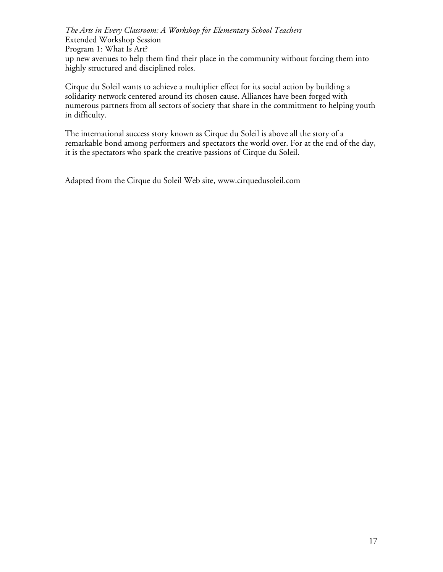*The Arts in Every Classroom: A Workshop for Elementary School Teachers* Extended Workshop Session Program 1: What Is Art? up new avenues to help them find their place in the community without forcing them into highly structured and disciplined roles.

Cirque du Soleil wants to achieve a multiplier effect for its social action by building a solidarity network centered around its chosen cause. Alliances have been forged with numerous partners from all sectors of society that share in the commitment to helping youth in difficulty.

The international success story known as Cirque du Soleil is above all the story of a remarkable bond among performers and spectators the world over. For at the end of the day, it is the spectators who spark the creative passions of Cirque du Soleil.

Adapted from the Cirque du Soleil Web site, www.cirquedusoleil.com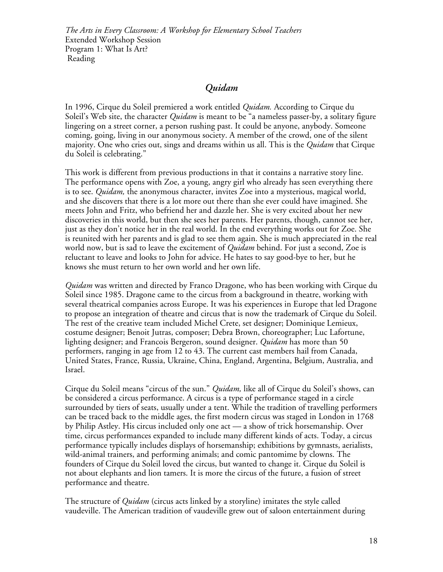# *Quidam*

In 1996, Cirque du Soleil premiered a work entitled *Quidam.* According to Cirque du Soleil's Web site, the character *Quidam* is meant to be "a nameless passer-by, a solitary figure lingering on a street corner, a person rushing past. It could be anyone, anybody. Someone coming, going, living in our anonymous society. A member of the crowd, one of the silent majority. One who cries out, sings and dreams within us all. This is the *Quidam* that Cirque du Soleil is celebrating."

This work is different from previous productions in that it contains a narrative story line. The performance opens with Zoe, a young, angry girl who already has seen everything there is to see. *Quidam,* the anonymous character, invites Zoe into a mysterious, magical world, and she discovers that there is a lot more out there than she ever could have imagined. She meets John and Fritz, who befriend her and dazzle her. She is very excited about her new discoveries in this world, but then she sees her parents. Her parents, though, cannot see her, just as they don't notice her in the real world. In the end everything works out for Zoe. She is reunited with her parents and is glad to see them again. She is much appreciated in the real world now, but is sad to leave the excitement of *Quidam* behind. For just a second, Zoe is reluctant to leave and looks to John for advice. He hates to say good-bye to her, but he knows she must return to her own world and her own life.

*Quidam* was written and directed by Franco Dragone, who has been working with Cirque du Soleil since 1985. Dragone came to the circus from a background in theatre, working with several theatrical companies across Europe. It was his experiences in Europe that led Dragone to propose an integration of theatre and circus that is now the trademark of Cirque du Soleil. The rest of the creative team included Michel Crete, set designer; Dominique Lemieux, costume designer; Benoit Jutras, composer; Debra Brown, choreographer; Luc Lafortune, lighting designer; and Francois Bergeron, sound designer. *Quidam* has more than 50 performers, ranging in age from 12 to 43. The current cast members hail from Canada, United States, France, Russia, Ukraine, China, England, Argentina, Belgium, Australia, and Israel.

Cirque du Soleil means "circus of the sun." *Quidam,* like all of Cirque du Soleil's shows, can be considered a circus performance. A circus is a type of performance staged in a circle surrounded by tiers of seats, usually under a tent. While the tradition of travelling performers can be traced back to the middle ages, the first modern circus was staged in London in 1768 by Philip Astley. His circus included only one act — a show of trick horsemanship. Over time, circus performances expanded to include many different kinds of acts. Today, a circus performance typically includes displays of horsemanship; exhibitions by gymnasts, aerialists, wild-animal trainers, and performing animals; and comic pantomime by clowns. The founders of Cirque du Soleil loved the circus, but wanted to change it. Cirque du Soleil is not about elephants and lion tamers. It is more the circus of the future, a fusion of street performance and theatre.

The structure of *Quidam* (circus acts linked by a storyline) imitates the style called vaudeville. The American tradition of vaudeville grew out of saloon entertainment during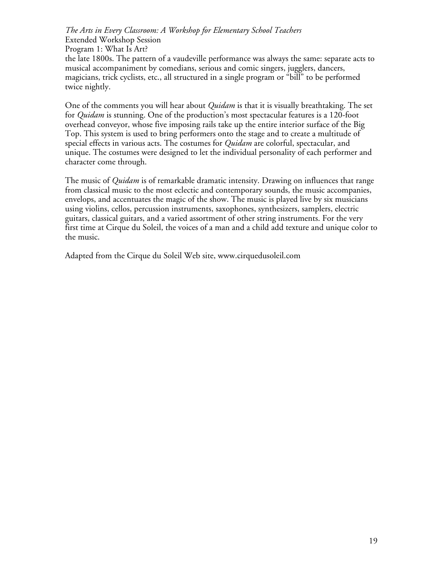*The Arts in Every Classroom: A Workshop for Elementary School Teachers* Extended Workshop Session Program 1: What Is Art? the late 1800s. The pattern of a vaudeville performance was always the same: separate acts to musical accompaniment by comedians, serious and comic singers, jugglers, dancers, magicians, trick cyclists, etc., all structured in a single program or "bill" to be performed twice nightly.

One of the comments you will hear about *Quidam* is that it is visually breathtaking. The set for *Quidam* is stunning. One of the production's most spectacular features is a 120-foot overhead conveyor, whose five imposing rails take up the entire interior surface of the Big Top. This system is used to bring performers onto the stage and to create a multitude of special effects in various acts. The costumes for *Quidam* are colorful, spectacular, and unique. The costumes were designed to let the individual personality of each performer and character come through.

The music of *Quidam* is of remarkable dramatic intensity. Drawing on influences that range from classical music to the most eclectic and contemporary sounds, the music accompanies, envelops, and accentuates the magic of the show. The music is played live by six musicians using violins, cellos, percussion instruments, saxophones, synthesizers, samplers, electric guitars, classical guitars, and a varied assortment of other string instruments. For the very first time at Cirque du Soleil, the voices of a man and a child add texture and unique color to the music.

Adapted from the Cirque du Soleil Web site, www.cirquedusoleil.com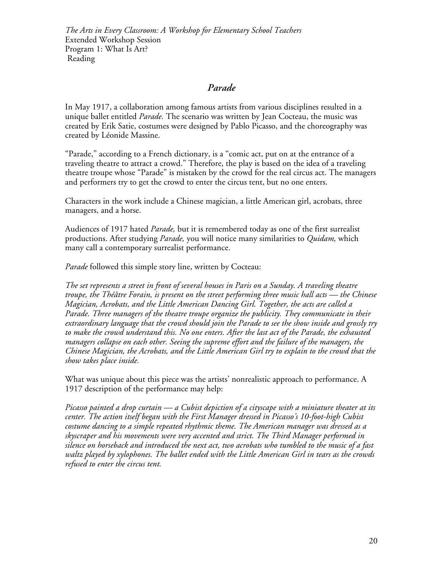### *Parade*

In May 1917, a collaboration among famous artists from various disciplines resulted in a unique ballet entitled *Parade.* The scenario was written by Jean Cocteau, the music was created by Erik Satie, costumes were designed by Pablo Picasso, and the choreography was created by Léonide Massine.

"Parade," according to a French dictionary, is a "comic act, put on at the entrance of a traveling theatre to attract a crowd." Therefore, the play is based on the idea of a traveling theatre troupe whose "Parade" is mistaken by the crowd for the real circus act. The managers and performers try to get the crowd to enter the circus tent, but no one enters.

Characters in the work include a Chinese magician, a little American girl, acrobats, three managers, and a horse.

Audiences of 1917 hated *Parade,* but it is remembered today as one of the first surrealist productions. After studying *Parade,* you will notice many similarities to *Quidam,* which many call a contemporary surrealist performance.

*Parade* followed this simple story line, written by Cocteau:

*The set represents a street in front of several houses in Paris on a Sunday. A traveling theatre troupe, the Théâtre Forain, is present on the street performing three music hall acts — the Chinese Magician, Acrobats, and the Little American Dancing Girl. Together, the acts are called a Parade. Three managers of the theatre troupe organize the publicity. They communicate in their extraordinary language that the crowd should join the Parade to see the show inside and grossly try to make the crowd understand this. No one enters. After the last act of the Parade, the exhausted managers collapse on each other. Seeing the supreme effort and the failure of the managers, the Chinese Magician, the Acrobats, and the Little American Girl try to explain to the crowd that the show takes place inside.*

What was unique about this piece was the artists' nonrealistic approach to performance. A 1917 description of the performance may help:

*Picasso painted a drop curtain — a Cubist depiction of a cityscape with a miniature theater at its center. The action itself began with the First Manager dressed in Picasso's 10-foot-high Cubist costume dancing to a simple repeated rhythmic theme. The American manager was dressed as a skyscraper and his movements were very accented and strict. The Third Manager performed in silence on horseback and introduced the next act, two acrobats who tumbled to the music of a fast waltz played by xylophones. The ballet ended with the Little American Girl in tears as the crowds refused to enter the circus tent.*